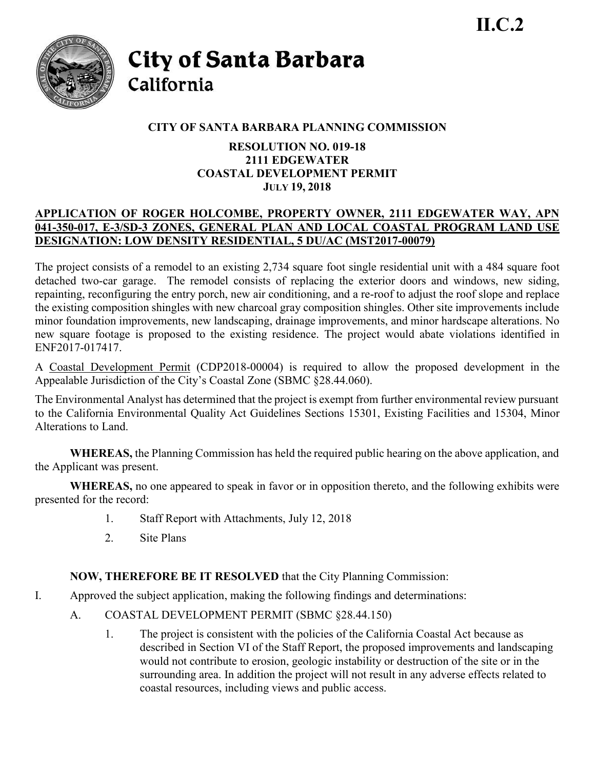

City of Santa Barbara California

# **CITY OF SANTA BARBARA PLANNING COMMISSION**

### **RESOLUTION NO. 019-18 2111 EDGEWATER COASTAL DEVELOPMENT PERMIT JULY 19, 2018**

## **APPLICATION OF ROGER HOLCOMBE, PROPERTY OWNER, 2111 EDGEWATER WAY, APN 041-350-017, E-3/SD-3 ZONES, GENERAL PLAN AND LOCAL COASTAL PROGRAM LAND USE DESIGNATION: LOW DENSITY RESIDENTIAL, 5 DU/AC (MST2017-00079)**

The project consists of a remodel to an existing 2,734 square foot single residential unit with a 484 square foot detached two-car garage. The remodel consists of replacing the exterior doors and windows, new siding, repainting, reconfiguring the entry porch, new air conditioning, and a re-roof to adjust the roof slope and replace the existing composition shingles with new charcoal gray composition shingles. Other site improvements include minor foundation improvements, new landscaping, drainage improvements, and minor hardscape alterations. No new square footage is proposed to the existing residence. The project would abate violations identified in ENF2017-017417.

A Coastal Development Permit (CDP2018-00004) is required to allow the proposed development in the Appealable Jurisdiction of the City's Coastal Zone (SBMC §28.44.060).

The Environmental Analyst has determined that the project is exempt from further environmental review pursuant to the California Environmental Quality Act Guidelines Sections 15301, Existing Facilities and 15304, Minor Alterations to Land.

**WHEREAS,** the Planning Commission has held the required public hearing on the above application, and the Applicant was present.

**WHEREAS,** no one appeared to speak in favor or in opposition thereto, and the following exhibits were presented for the record:

- 1. Staff Report with Attachments, July 12, 2018
- 2. Site Plans

# **NOW, THEREFORE BE IT RESOLVED** that the City Planning Commission:

- I. Approved the subject application, making the following findings and determinations:
	- A. COASTAL DEVELOPMENT PERMIT (SBMC §28.44.150)
		- 1. The project is consistent with the policies of the California Coastal Act because as described in Section VI of the Staff Report, the proposed improvements and landscaping would not contribute to erosion, geologic instability or destruction of the site or in the surrounding area. In addition the project will not result in any adverse effects related to coastal resources, including views and public access.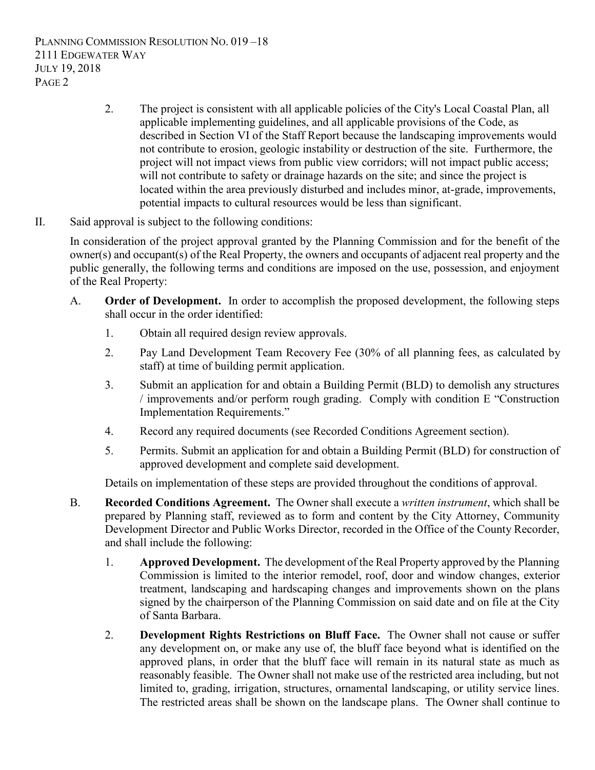PLANNING COMMISSION RESOLUTION NO. 019 –18 2111 EDGEWATER WAY JULY 19, 2018 PAGE 2

- 2. The project is consistent with all applicable policies of the City's Local Coastal Plan, all applicable implementing guidelines, and all applicable provisions of the Code, as described in Section VI of the Staff Report because the landscaping improvements would not contribute to erosion, geologic instability or destruction of the site. Furthermore, the project will not impact views from public view corridors; will not impact public access; will not contribute to safety or drainage hazards on the site; and since the project is located within the area previously disturbed and includes minor, at-grade, improvements, potential impacts to cultural resources would be less than significant.
- II. Said approval is subject to the following conditions:

In consideration of the project approval granted by the Planning Commission and for the benefit of the owner(s) and occupant(s) of the Real Property, the owners and occupants of adjacent real property and the public generally, the following terms and conditions are imposed on the use, possession, and enjoyment of the Real Property:

- A. **Order of Development.** In order to accomplish the proposed development, the following steps shall occur in the order identified:
	- 1. Obtain all required design review approvals.
	- 2. Pay Land Development Team Recovery Fee (30% of all planning fees, as calculated by staff) at time of building permit application.
	- 3. Submit an application for and obtain a Building Permit (BLD) to demolish any structures / improvements and/or perform rough grading. Comply with condition E "Construction Implementation Requirements."
	- 4. Record any required documents (see Recorded Conditions Agreement section).
	- 5. Permits. Submit an application for and obtain a Building Permit (BLD) for construction of approved development and complete said development.

Details on implementation of these steps are provided throughout the conditions of approval.

- B. **Recorded Conditions Agreement.** The Owner shall execute a *written instrument*, which shall be prepared by Planning staff, reviewed as to form and content by the City Attorney, Community Development Director and Public Works Director, recorded in the Office of the County Recorder, and shall include the following:
	- 1. **Approved Development.** The development of the Real Property approved by the Planning Commission is limited to the interior remodel, roof, door and window changes, exterior treatment, landscaping and hardscaping changes and improvements shown on the plans signed by the chairperson of the Planning Commission on said date and on file at the City of Santa Barbara.
	- 2. **Development Rights Restrictions on Bluff Face.** The Owner shall not cause or suffer any development on, or make any use of, the bluff face beyond what is identified on the approved plans, in order that the bluff face will remain in its natural state as much as reasonably feasible. The Owner shall not make use of the restricted area including, but not limited to, grading, irrigation, structures, ornamental landscaping, or utility service lines. The restricted areas shall be shown on the landscape plans. The Owner shall continue to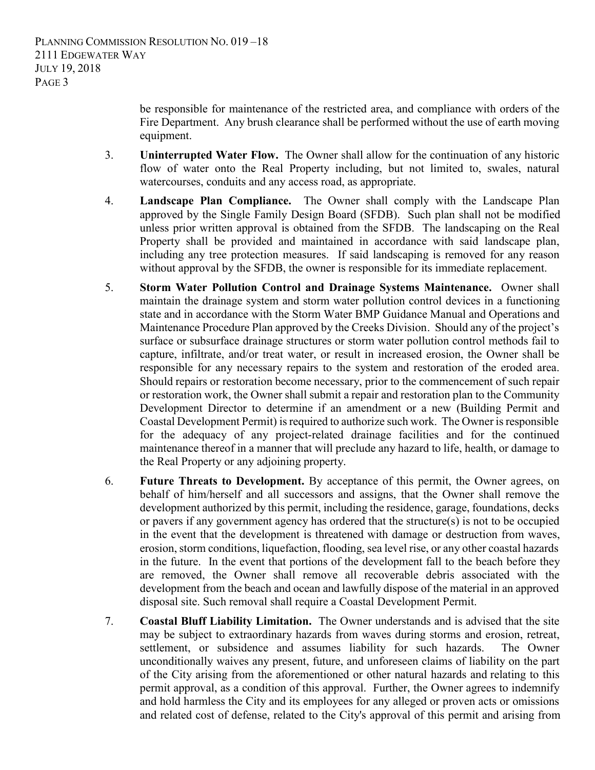be responsible for maintenance of the restricted area, and compliance with orders of the Fire Department. Any brush clearance shall be performed without the use of earth moving equipment.

- 3. **Uninterrupted Water Flow.** The Owner shall allow for the continuation of any historic flow of water onto the Real Property including, but not limited to, swales, natural watercourses, conduits and any access road, as appropriate.
- 4. **Landscape Plan Compliance.** The Owner shall comply with the Landscape Plan approved by the Single Family Design Board (SFDB). Such plan shall not be modified unless prior written approval is obtained from the SFDB. The landscaping on the Real Property shall be provided and maintained in accordance with said landscape plan, including any tree protection measures. If said landscaping is removed for any reason without approval by the SFDB, the owner is responsible for its immediate replacement.
- 5. **Storm Water Pollution Control and Drainage Systems Maintenance.** Owner shall maintain the drainage system and storm water pollution control devices in a functioning state and in accordance with the Storm Water BMP Guidance Manual and Operations and Maintenance Procedure Plan approved by the Creeks Division. Should any of the project's surface or subsurface drainage structures or storm water pollution control methods fail to capture, infiltrate, and/or treat water, or result in increased erosion, the Owner shall be responsible for any necessary repairs to the system and restoration of the eroded area. Should repairs or restoration become necessary, prior to the commencement of such repair or restoration work, the Owner shall submit a repair and restoration plan to the Community Development Director to determine if an amendment or a new (Building Permit and Coastal Development Permit) is required to authorize such work. The Owner is responsible for the adequacy of any project-related drainage facilities and for the continued maintenance thereof in a manner that will preclude any hazard to life, health, or damage to the Real Property or any adjoining property.
- 6. **Future Threats to Development.** By acceptance of this permit, the Owner agrees, on behalf of him/herself and all successors and assigns, that the Owner shall remove the development authorized by this permit, including the residence, garage, foundations, decks or pavers if any government agency has ordered that the structure(s) is not to be occupied in the event that the development is threatened with damage or destruction from waves, erosion, storm conditions, liquefaction, flooding, sea level rise, or any other coastal hazards in the future. In the event that portions of the development fall to the beach before they are removed, the Owner shall remove all recoverable debris associated with the development from the beach and ocean and lawfully dispose of the material in an approved disposal site. Such removal shall require a Coastal Development Permit.
- 7. **Coastal Bluff Liability Limitation.** The Owner understands and is advised that the site may be subject to extraordinary hazards from waves during storms and erosion, retreat, settlement, or subsidence and assumes liability for such hazards. The Owner unconditionally waives any present, future, and unforeseen claims of liability on the part of the City arising from the aforementioned or other natural hazards and relating to this permit approval, as a condition of this approval. Further, the Owner agrees to indemnify and hold harmless the City and its employees for any alleged or proven acts or omissions and related cost of defense, related to the City's approval of this permit and arising from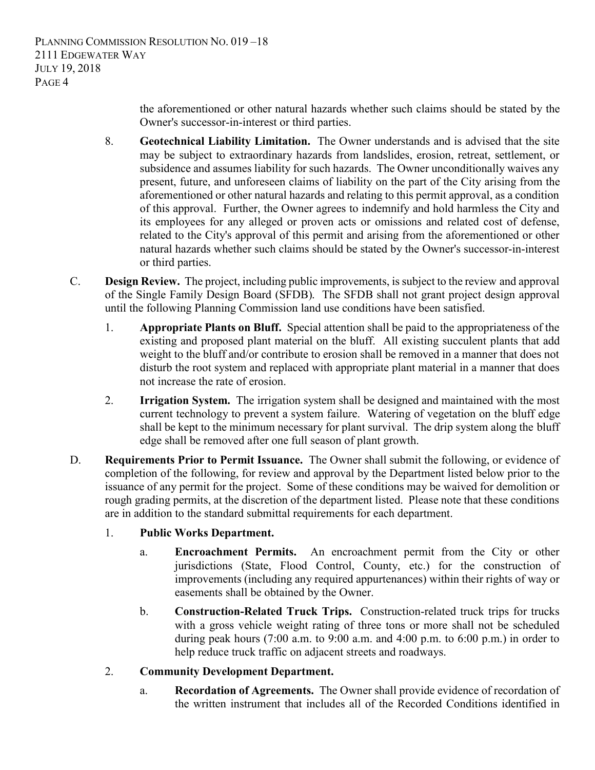the aforementioned or other natural hazards whether such claims should be stated by the Owner's successor-in-interest or third parties.

- 8. **Geotechnical Liability Limitation.** The Owner understands and is advised that the site may be subject to extraordinary hazards from landslides, erosion, retreat, settlement, or subsidence and assumes liability for such hazards. The Owner unconditionally waives any present, future, and unforeseen claims of liability on the part of the City arising from the aforementioned or other natural hazards and relating to this permit approval, as a condition of this approval. Further, the Owner agrees to indemnify and hold harmless the City and its employees for any alleged or proven acts or omissions and related cost of defense, related to the City's approval of this permit and arising from the aforementioned or other natural hazards whether such claims should be stated by the Owner's successor-in-interest or third parties.
- C. **Design Review.** The project, including public improvements, is subject to the review and approval of the Single Family Design Board (SFDB). The SFDB shall not grant project design approval until the following Planning Commission land use conditions have been satisfied.
	- 1. **Appropriate Plants on Bluff.** Special attention shall be paid to the appropriateness of the existing and proposed plant material on the bluff. All existing succulent plants that add weight to the bluff and/or contribute to erosion shall be removed in a manner that does not disturb the root system and replaced with appropriate plant material in a manner that does not increase the rate of erosion.
	- 2. **Irrigation System.** The irrigation system shall be designed and maintained with the most current technology to prevent a system failure. Watering of vegetation on the bluff edge shall be kept to the minimum necessary for plant survival. The drip system along the bluff edge shall be removed after one full season of plant growth.
- D. **Requirements Prior to Permit Issuance.** The Owner shall submit the following, or evidence of completion of the following, for review and approval by the Department listed below prior to the issuance of any permit for the project. Some of these conditions may be waived for demolition or rough grading permits, at the discretion of the department listed. Please note that these conditions are in addition to the standard submittal requirements for each department.
	- 1. **Public Works Department.**
		- a. **Encroachment Permits.** An encroachment permit from the City or other jurisdictions (State, Flood Control, County, etc.) for the construction of improvements (including any required appurtenances) within their rights of way or easements shall be obtained by the Owner.
		- b. **Construction-Related Truck Trips.** Construction-related truck trips for trucks with a gross vehicle weight rating of three tons or more shall not be scheduled during peak hours (7:00 a.m. to 9:00 a.m. and 4:00 p.m. to 6:00 p.m.) in order to help reduce truck traffic on adjacent streets and roadways.
	- 2. **Community Development Department.**
		- a. **Recordation of Agreements.** The Owner shall provide evidence of recordation of the written instrument that includes all of the Recorded Conditions identified in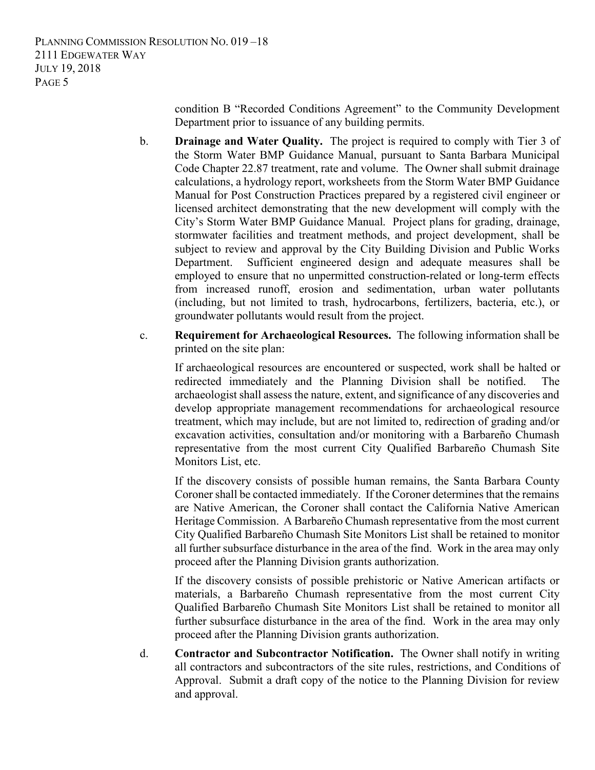condition B "Recorded Conditions Agreement" to the Community Development Department prior to issuance of any building permits.

- b. **Drainage and Water Quality.** The project is required to comply with Tier 3 of the Storm Water BMP Guidance Manual, pursuant to Santa Barbara Municipal Code Chapter 22.87 treatment, rate and volume. The Owner shall submit drainage calculations, a hydrology report, worksheets from the Storm Water BMP Guidance Manual for Post Construction Practices prepared by a registered civil engineer or licensed architect demonstrating that the new development will comply with the City's Storm Water BMP Guidance Manual. Project plans for grading, drainage, stormwater facilities and treatment methods, and project development, shall be subject to review and approval by the City Building Division and Public Works Department. Sufficient engineered design and adequate measures shall be employed to ensure that no unpermitted construction-related or long-term effects from increased runoff, erosion and sedimentation, urban water pollutants (including, but not limited to trash, hydrocarbons, fertilizers, bacteria, etc.), or groundwater pollutants would result from the project.
- c. **Requirement for Archaeological Resources.** The following information shall be printed on the site plan:

If archaeological resources are encountered or suspected, work shall be halted or redirected immediately and the Planning Division shall be notified. The archaeologist shall assess the nature, extent, and significance of any discoveries and develop appropriate management recommendations for archaeological resource treatment, which may include, but are not limited to, redirection of grading and/or excavation activities, consultation and/or monitoring with a Barbareño Chumash representative from the most current City Qualified Barbareño Chumash Site Monitors List, etc.

If the discovery consists of possible human remains, the Santa Barbara County Coroner shall be contacted immediately. If the Coroner determines that the remains are Native American, the Coroner shall contact the California Native American Heritage Commission. A Barbareño Chumash representative from the most current City Qualified Barbareño Chumash Site Monitors List shall be retained to monitor all further subsurface disturbance in the area of the find. Work in the area may only proceed after the Planning Division grants authorization.

If the discovery consists of possible prehistoric or Native American artifacts or materials, a Barbareño Chumash representative from the most current City Qualified Barbareño Chumash Site Monitors List shall be retained to monitor all further subsurface disturbance in the area of the find. Work in the area may only proceed after the Planning Division grants authorization.

d. **Contractor and Subcontractor Notification.** The Owner shall notify in writing all contractors and subcontractors of the site rules, restrictions, and Conditions of Approval. Submit a draft copy of the notice to the Planning Division for review and approval.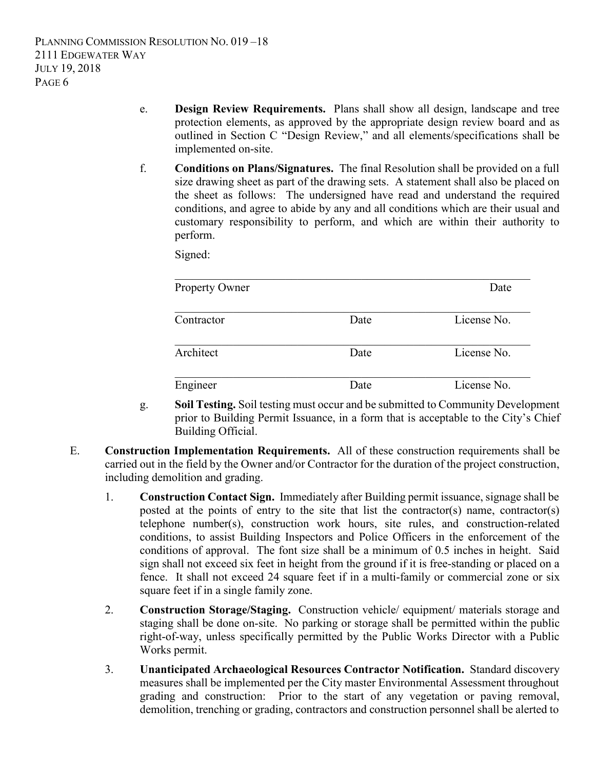- e. **Design Review Requirements.** Plans shall show all design, landscape and tree protection elements, as approved by the appropriate design review board and as outlined in Section C "Design Review," and all elements/specifications shall be implemented on-site.
- f. **Conditions on Plans/Signatures.** The final Resolution shall be provided on a full size drawing sheet as part of the drawing sets. A statement shall also be placed on the sheet as follows: The undersigned have read and understand the required conditions, and agree to abide by any and all conditions which are their usual and customary responsibility to perform, and which are within their authority to perform.

Signed:

| <b>Property Owner</b> |      | Date        |
|-----------------------|------|-------------|
|                       |      |             |
| Contractor            | Date | License No. |
| Architect             | Date | License No. |
| Engineer              | Date | License No. |

- g. **Soil Testing.** Soil testing must occur and be submitted to Community Development prior to Building Permit Issuance, in a form that is acceptable to the City's Chief Building Official.
- E. **Construction Implementation Requirements.** All of these construction requirements shall be carried out in the field by the Owner and/or Contractor for the duration of the project construction, including demolition and grading.
	- 1. **Construction Contact Sign.** Immediately after Building permit issuance, signage shall be posted at the points of entry to the site that list the contractor(s) name, contractor(s) telephone number(s), construction work hours, site rules, and construction-related conditions, to assist Building Inspectors and Police Officers in the enforcement of the conditions of approval. The font size shall be a minimum of 0.5 inches in height. Said sign shall not exceed six feet in height from the ground if it is free-standing or placed on a fence. It shall not exceed 24 square feet if in a multi-family or commercial zone or six square feet if in a single family zone.
	- 2. **Construction Storage/Staging.** Construction vehicle/ equipment/ materials storage and staging shall be done on-site. No parking or storage shall be permitted within the public right-of-way, unless specifically permitted by the Public Works Director with a Public Works permit.
	- 3. **Unanticipated Archaeological Resources Contractor Notification.** Standard discovery measures shall be implemented per the City master Environmental Assessment throughout grading and construction: Prior to the start of any vegetation or paving removal, demolition, trenching or grading, contractors and construction personnel shall be alerted to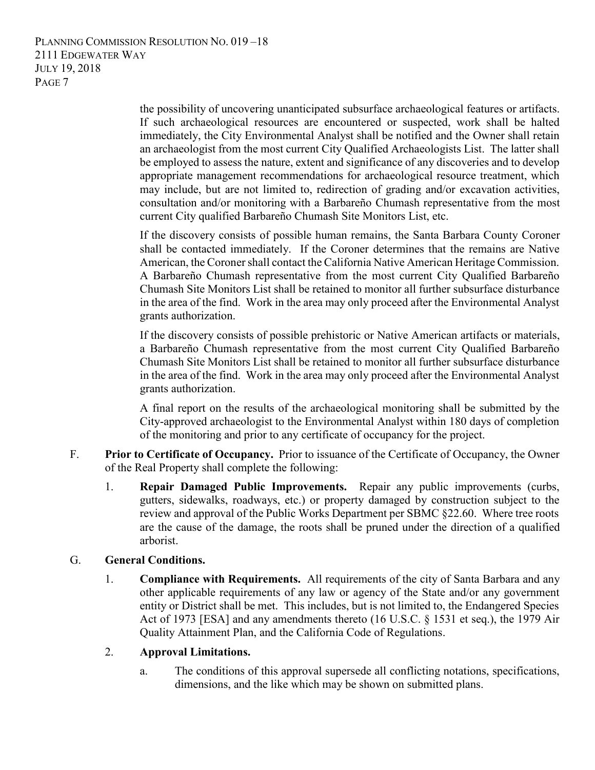PLANNING COMMISSION RESOLUTION NO. 019 –18 2111 EDGEWATER WAY JULY 19, 2018 PAGE 7

> the possibility of uncovering unanticipated subsurface archaeological features or artifacts. If such archaeological resources are encountered or suspected, work shall be halted immediately, the City Environmental Analyst shall be notified and the Owner shall retain an archaeologist from the most current City Qualified Archaeologists List. The latter shall be employed to assess the nature, extent and significance of any discoveries and to develop appropriate management recommendations for archaeological resource treatment, which may include, but are not limited to, redirection of grading and/or excavation activities, consultation and/or monitoring with a Barbareño Chumash representative from the most current City qualified Barbareño Chumash Site Monitors List, etc.

> If the discovery consists of possible human remains, the Santa Barbara County Coroner shall be contacted immediately. If the Coroner determines that the remains are Native American, the Coroner shall contact the California Native American Heritage Commission. A Barbareño Chumash representative from the most current City Qualified Barbareño Chumash Site Monitors List shall be retained to monitor all further subsurface disturbance in the area of the find. Work in the area may only proceed after the Environmental Analyst grants authorization.

> If the discovery consists of possible prehistoric or Native American artifacts or materials, a Barbareño Chumash representative from the most current City Qualified Barbareño Chumash Site Monitors List shall be retained to monitor all further subsurface disturbance in the area of the find. Work in the area may only proceed after the Environmental Analyst grants authorization.

> A final report on the results of the archaeological monitoring shall be submitted by the City-approved archaeologist to the Environmental Analyst within 180 days of completion of the monitoring and prior to any certificate of occupancy for the project.

- F. **Prior to Certificate of Occupancy.** Prior to issuance of the Certificate of Occupancy, the Owner of the Real Property shall complete the following:
	- 1. **Repair Damaged Public Improvements.** Repair any public improvements (curbs, gutters, sidewalks, roadways, etc.) or property damaged by construction subject to the review and approval of the Public Works Department per SBMC §22.60. Where tree roots are the cause of the damage, the roots shall be pruned under the direction of a qualified arborist.

### G. **General Conditions.**

1. **Compliance with Requirements.** All requirements of the city of Santa Barbara and any other applicable requirements of any law or agency of the State and/or any government entity or District shall be met. This includes, but is not limited to, the Endangered Species Act of 1973 [ESA] and any amendments thereto (16 U.S.C. § 1531 et seq.), the 1979 Air Quality Attainment Plan, and the California Code of Regulations.

### 2. **Approval Limitations.**

a. The conditions of this approval supersede all conflicting notations, specifications, dimensions, and the like which may be shown on submitted plans.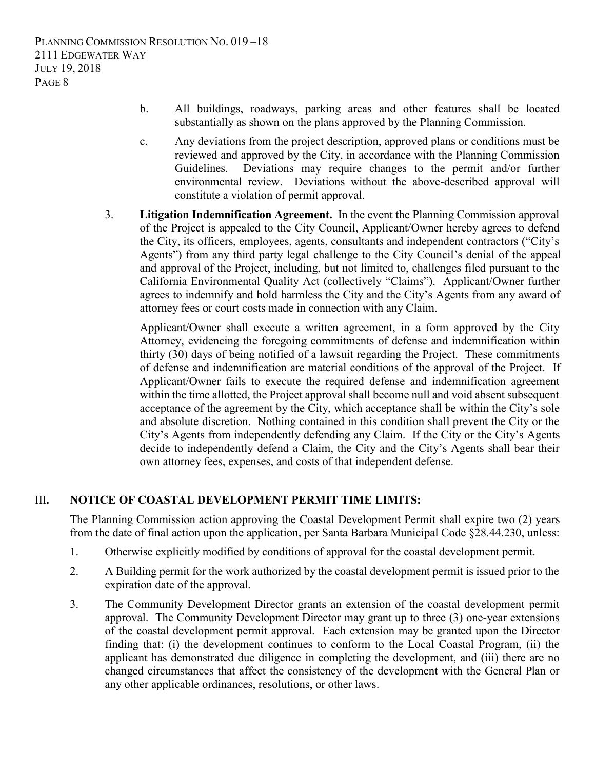- b. All buildings, roadways, parking areas and other features shall be located substantially as shown on the plans approved by the Planning Commission.
- c. Any deviations from the project description, approved plans or conditions must be reviewed and approved by the City, in accordance with the Planning Commission Guidelines. Deviations may require changes to the permit and/or further environmental review. Deviations without the above-described approval will constitute a violation of permit approval.
- 3. **Litigation Indemnification Agreement.** In the event the Planning Commission approval of the Project is appealed to the City Council, Applicant/Owner hereby agrees to defend the City, its officers, employees, agents, consultants and independent contractors ("City's Agents") from any third party legal challenge to the City Council's denial of the appeal and approval of the Project, including, but not limited to, challenges filed pursuant to the California Environmental Quality Act (collectively "Claims"). Applicant/Owner further agrees to indemnify and hold harmless the City and the City's Agents from any award of attorney fees or court costs made in connection with any Claim.

Applicant/Owner shall execute a written agreement, in a form approved by the City Attorney, evidencing the foregoing commitments of defense and indemnification within thirty (30) days of being notified of a lawsuit regarding the Project. These commitments of defense and indemnification are material conditions of the approval of the Project. If Applicant/Owner fails to execute the required defense and indemnification agreement within the time allotted, the Project approval shall become null and void absent subsequent acceptance of the agreement by the City, which acceptance shall be within the City's sole and absolute discretion. Nothing contained in this condition shall prevent the City or the City's Agents from independently defending any Claim. If the City or the City's Agents decide to independently defend a Claim, the City and the City's Agents shall bear their own attorney fees, expenses, and costs of that independent defense.

### III**. NOTICE OF COASTAL DEVELOPMENT PERMIT TIME LIMITS:**

The Planning Commission action approving the Coastal Development Permit shall expire two (2) years from the date of final action upon the application, per Santa Barbara Municipal Code §28.44.230, unless:

- 1. Otherwise explicitly modified by conditions of approval for the coastal development permit.
- 2. A Building permit for the work authorized by the coastal development permit is issued prior to the expiration date of the approval.
- 3. The Community Development Director grants an extension of the coastal development permit approval. The Community Development Director may grant up to three (3) one-year extensions of the coastal development permit approval. Each extension may be granted upon the Director finding that: (i) the development continues to conform to the Local Coastal Program, (ii) the applicant has demonstrated due diligence in completing the development, and (iii) there are no changed circumstances that affect the consistency of the development with the General Plan or any other applicable ordinances, resolutions, or other laws.